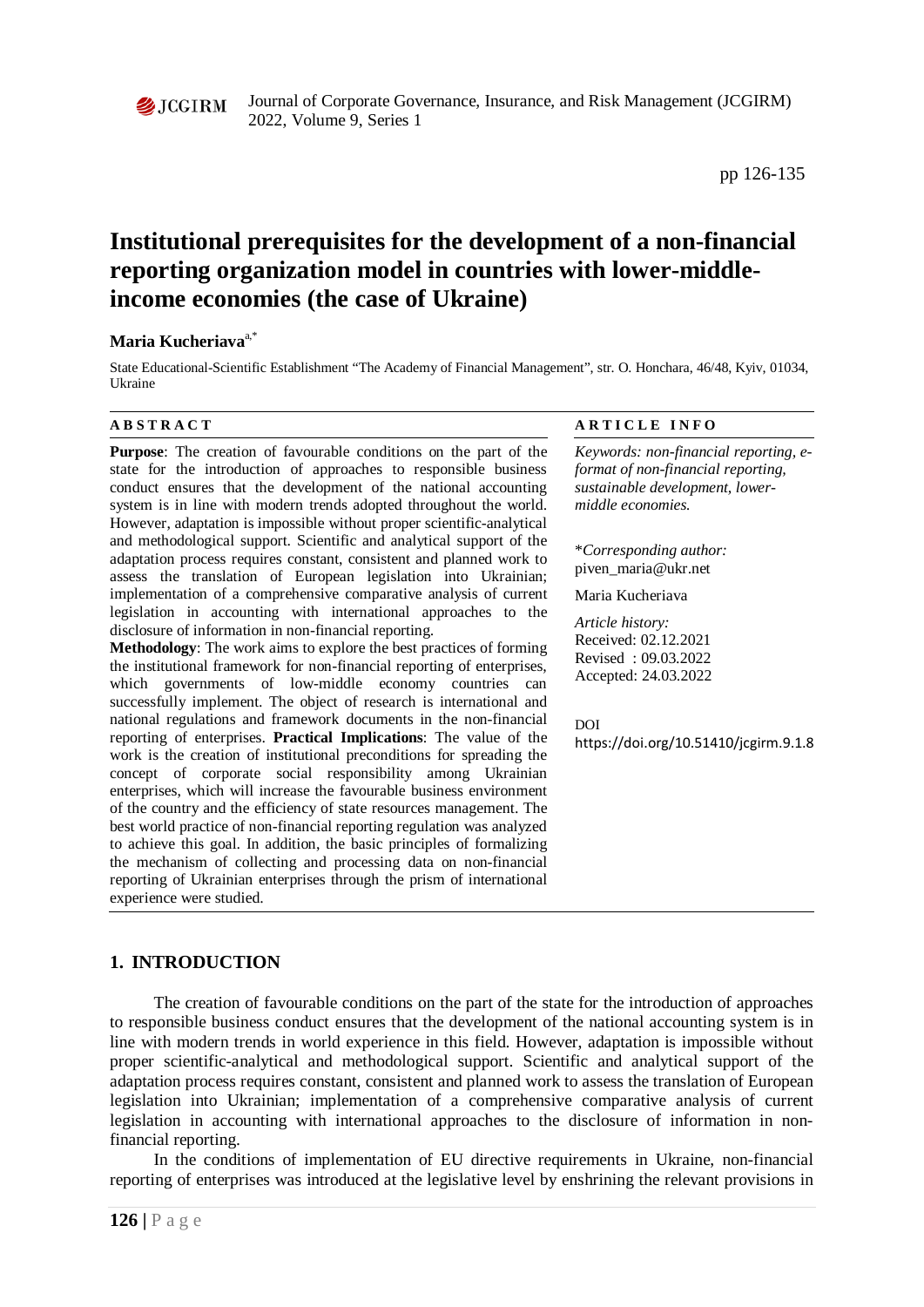

Journal of Corporate Governance, Insurance, and Risk Management (JCGIRM) 2022, Volume 9, Series 1

# **Institutional prerequisites for the development of a non-financial reporting organization model in countries with lower-middleincome economies (the case of Ukraine)**

#### **Maria Kucheriava**a,\*

State Educational-Scientific Establishment "The Academy of Financial Management", str. O. Honchara, 46/48, Kyiv, 01034, Ukraine

**Purpose**: The creation of favourable conditions on the part of the state for the introduction of approaches to responsible business conduct ensures that the development of the national accounting system is in line with modern trends adopted throughout the world. However, adaptation is impossible without proper scientific-analytical and methodological support. Scientific and analytical support of the adaptation process requires constant, consistent and planned work to assess the translation of European legislation into Ukrainian; implementation of a comprehensive comparative analysis of current legislation in accounting with international approaches to the disclosure of information in non-financial reporting.

**Methodology**: The work aims to explore the best practices of forming the institutional framework for non-financial reporting of enterprises, which governments of low-middle economy countries can successfully implement. The object of research is international and national regulations and framework documents in the non-financial reporting of enterprises. **Practical Implications**: The value of the work is the creation of institutional preconditions for spreading the concept of corporate social responsibility among Ukrainian enterprises, which will increase the favourable business environment of the country and the efficiency of state resources management. The best world practice of non-financial reporting regulation was analyzed to achieve this goal. In addition, the basic principles of formalizing the mechanism of collecting and processing data on non-financial reporting of Ukrainian enterprises through the prism of international experience were studied.

#### **A B S T R A C T A R T I C L E I N F O**

*Keywords: non-financial reporting, eformat of non-financial reporting, sustainable development, lowermiddle economies.*

\**Corresponding author:*  piven\_maria@ukr.net

Maria Kucheriava

*Article history:*  Received: 02.12.2021 Revised : 09.03.2022 Accepted: 24.03.2022

DOI

https://doi.org/10.51410/jcgirm.9.1.8

# **1. INTRODUCTION**

The creation of favourable conditions on the part of the state for the introduction of approaches to responsible business conduct ensures that the development of the national accounting system is in line with modern trends in world experience in this field. However, adaptation is impossible without proper scientific-analytical and methodological support. Scientific and analytical support of the adaptation process requires constant, consistent and planned work to assess the translation of European legislation into Ukrainian; implementation of a comprehensive comparative analysis of current legislation in accounting with international approaches to the disclosure of information in nonfinancial reporting.

In the conditions of implementation of EU directive requirements in Ukraine, non-financial reporting of enterprises was introduced at the legislative level by enshrining the relevant provisions in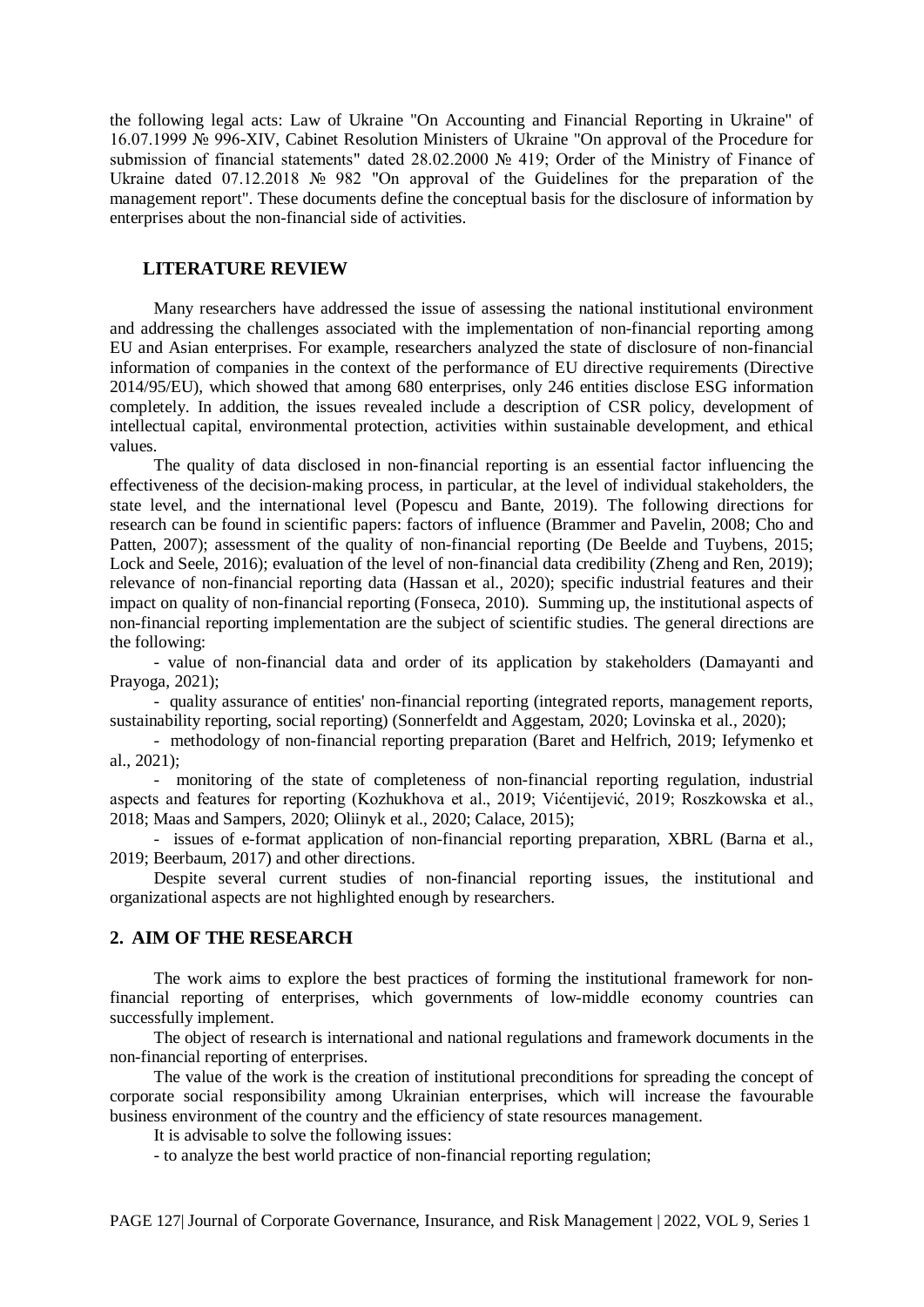the following legal acts: Law of Ukraine "On Accounting and Financial Reporting in Ukraine" of 16.07.1999 № 996-XIV, Cabinet Resolution Ministers of Ukraine "On approval of the Procedure for submission of financial statements" dated 28.02.2000 № 419; Order of the Ministry of Finance of Ukraine dated 07.12.2018 № 982 "On approval of the Guidelines for the preparation of the management report". These documents define the conceptual basis for the disclosure of information by enterprises about the non-financial side of activities.

### **LITERATURE REVIEW**

Many researchers have addressed the issue of assessing the national institutional environment and addressing the challenges associated with the implementation of non-financial reporting among EU and Asian enterprises. For example, researchers analyzed the state of disclosure of non-financial information of companies in the context of the performance of EU directive requirements (Directive 2014/95/EU), which showed that among 680 enterprises, only 246 entities disclose ESG information completely. In addition, the issues revealed include a description of CSR policy, development of intellectual capital, environmental protection, activities within sustainable development, and ethical values.

The quality of data disclosed in non-financial reporting is an essential factor influencing the effectiveness of the decision-making process, in particular, at the level of individual stakeholders, the state level, and the international level (Popescu and Bante, 2019). The following directions for research can be found in scientific papers: factors of influence (Brammer and Pavelin, 2008; Cho and Patten, 2007); assessment of the quality of non-financial reporting (De Beelde and Tuybens, 2015; Lock and Seele, 2016); evaluation of the level of non-financial data credibility (Zheng and Ren, 2019); relevance of non-financial reporting data (Hassan et al., 2020); specific industrial features and their impact on quality of non-financial reporting (Fonseca, 2010). Summing up, the institutional aspects of non-financial reporting implementation are the subject of scientific studies. The general directions are the following:

- value of non-financial data and order of its application by stakeholders (Damayanti and Prayoga, 2021);

- quality assurance of entities' non-financial reporting (integrated reports, management reports, sustainability reporting, social reporting) (Sonnerfeldt and Aggestam, 2020; Lovinska et al., 2020);

- methodology of non-financial reporting preparation (Baret and Helfrich, 2019; Iefymenko et al., 2021);

- monitoring of the state of completeness of non-financial reporting regulation, industrial aspects and features for reporting (Kozhukhova et al., 2019; Vićentijević, 2019; Roszkowska et al., 2018; Maas and Sampers, 2020; Oliinyk et al., 2020; Calace, 2015);

- issues of e-format application of non-financial reporting preparation, XBRL (Barna et al., 2019; Beerbaum, 2017) and other directions.

Despite several current studies of non-financial reporting issues, the institutional and organizational aspects are not highlighted enough by researchers.

#### **2. AIM OF THE RESEARCH**

The work aims to explore the best practices of forming the institutional framework for nonfinancial reporting of enterprises, which governments of low-middle economy countries can successfully implement.

The object of research is international and national regulations and framework documents in the non-financial reporting of enterprises.

The value of the work is the creation of institutional preconditions for spreading the concept of corporate social responsibility among Ukrainian enterprises, which will increase the favourable business environment of the country and the efficiency of state resources management.

It is advisable to solve the following issues:

- to analyze the best world practice of non-financial reporting regulation;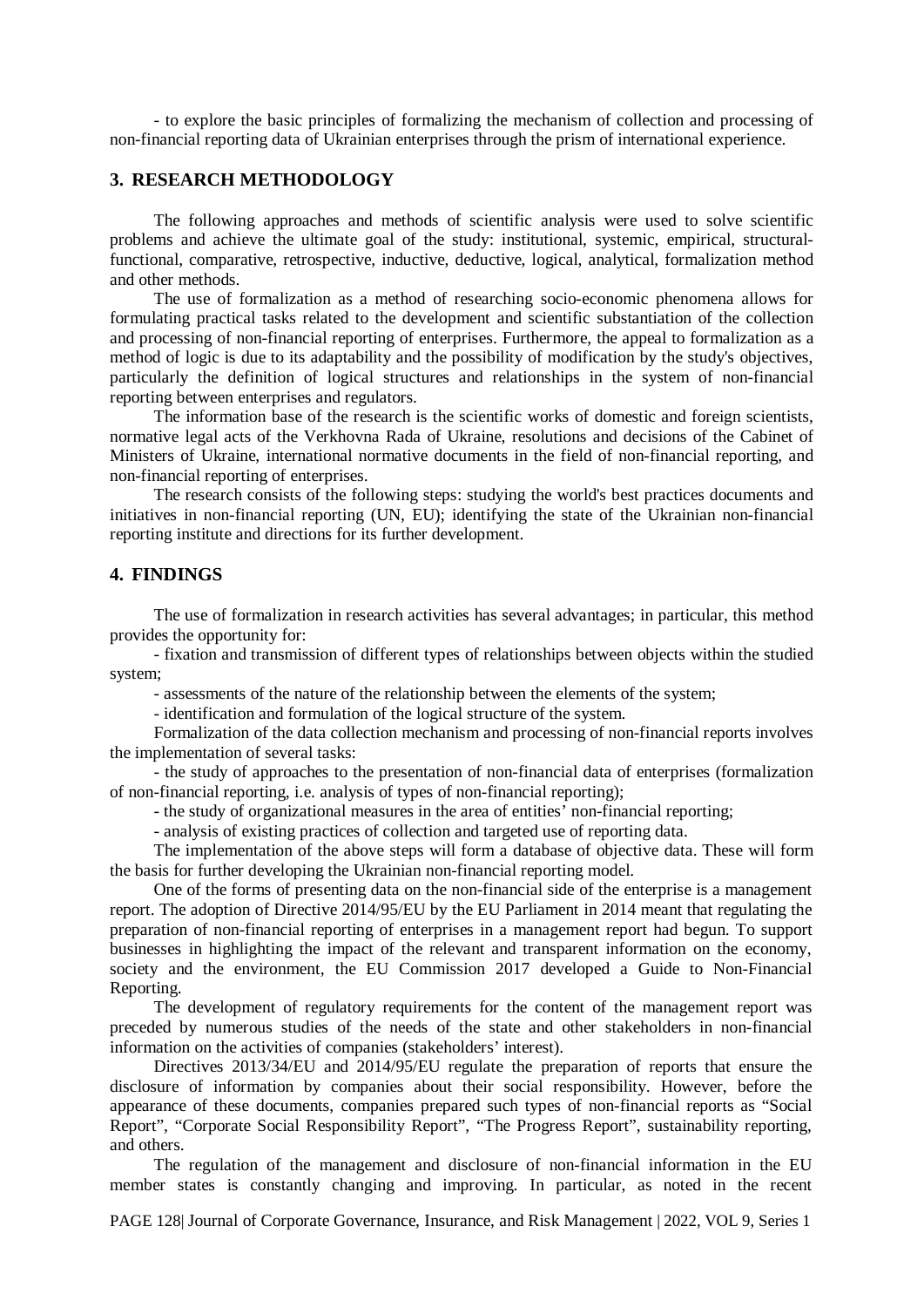- to explore the basic principles of formalizing the mechanism of collection and processing of non-financial reporting data of Ukrainian enterprises through the prism of international experience.

### **3. RESEARCH METHODOLOGY**

The following approaches and methods of scientific analysis were used to solve scientific problems and achieve the ultimate goal of the study: institutional, systemic, empirical, structuralfunctional, comparative, retrospective, inductive, deductive, logical, analytical, formalization method and other methods.

The use of formalization as a method of researching socio-economic phenomena allows for formulating practical tasks related to the development and scientific substantiation of the collection and processing of non-financial reporting of enterprises. Furthermore, the appeal to formalization as a method of logic is due to its adaptability and the possibility of modification by the study's objectives, particularly the definition of logical structures and relationships in the system of non-financial reporting between enterprises and regulators.

The information base of the research is the scientific works of domestic and foreign scientists, normative legal acts of the Verkhovna Rada of Ukraine, resolutions and decisions of the Cabinet of Ministers of Ukraine, international normative documents in the field of non-financial reporting, and non-financial reporting of enterprises.

The research consists of the following steps: studying the world's best practices documents and initiatives in non-financial reporting (UN, EU); identifying the state of the Ukrainian non-financial reporting institute and directions for its further development.

# **4. FINDINGS**

The use of formalization in research activities has several advantages; in particular, this method provides the opportunity for:

- fixation and transmission of different types of relationships between objects within the studied system;

- assessments of the nature of the relationship between the elements of the system;

- identification and formulation of the logical structure of the system.

Formalization of the data collection mechanism and processing of non-financial reports involves the implementation of several tasks:

- the study of approaches to the presentation of non-financial data of enterprises (formalization of non-financial reporting, i.e. analysis of types of non-financial reporting);

- the study of organizational measures in the area of entities' non-financial reporting;

- analysis of existing practices of collection and targeted use of reporting data.

The implementation of the above steps will form a database of objective data. These will form the basis for further developing the Ukrainian non-financial reporting model.

One of the forms of presenting data on the non-financial side of the enterprise is a management report. The adoption of Directive 2014/95/EU by the EU Parliament in 2014 meant that regulating the preparation of non-financial reporting of enterprises in a management report had begun. To support businesses in highlighting the impact of the relevant and transparent information on the economy, society and the environment, the EU Commission 2017 developed a Guide to Non-Financial Reporting.

The development of regulatory requirements for the content of the management report was preceded by numerous studies of the needs of the state and other stakeholders in non-financial information on the activities of companies (stakeholders' interest).

Directives 2013/34/EU and 2014/95/EU regulate the preparation of reports that ensure the disclosure of information by companies about their social responsibility. However, before the appearance of these documents, companies prepared such types of non-financial reports as "Social Report", "Corporate Social Responsibility Report", "The Progress Report", sustainability reporting, and others.

The regulation of the management and disclosure of non-financial information in the EU member states is constantly changing and improving. In particular, as noted in the recent

PAGE 128| Journal of Corporate Governance, Insurance, and Risk Management | 2022, VOL 9, Series 1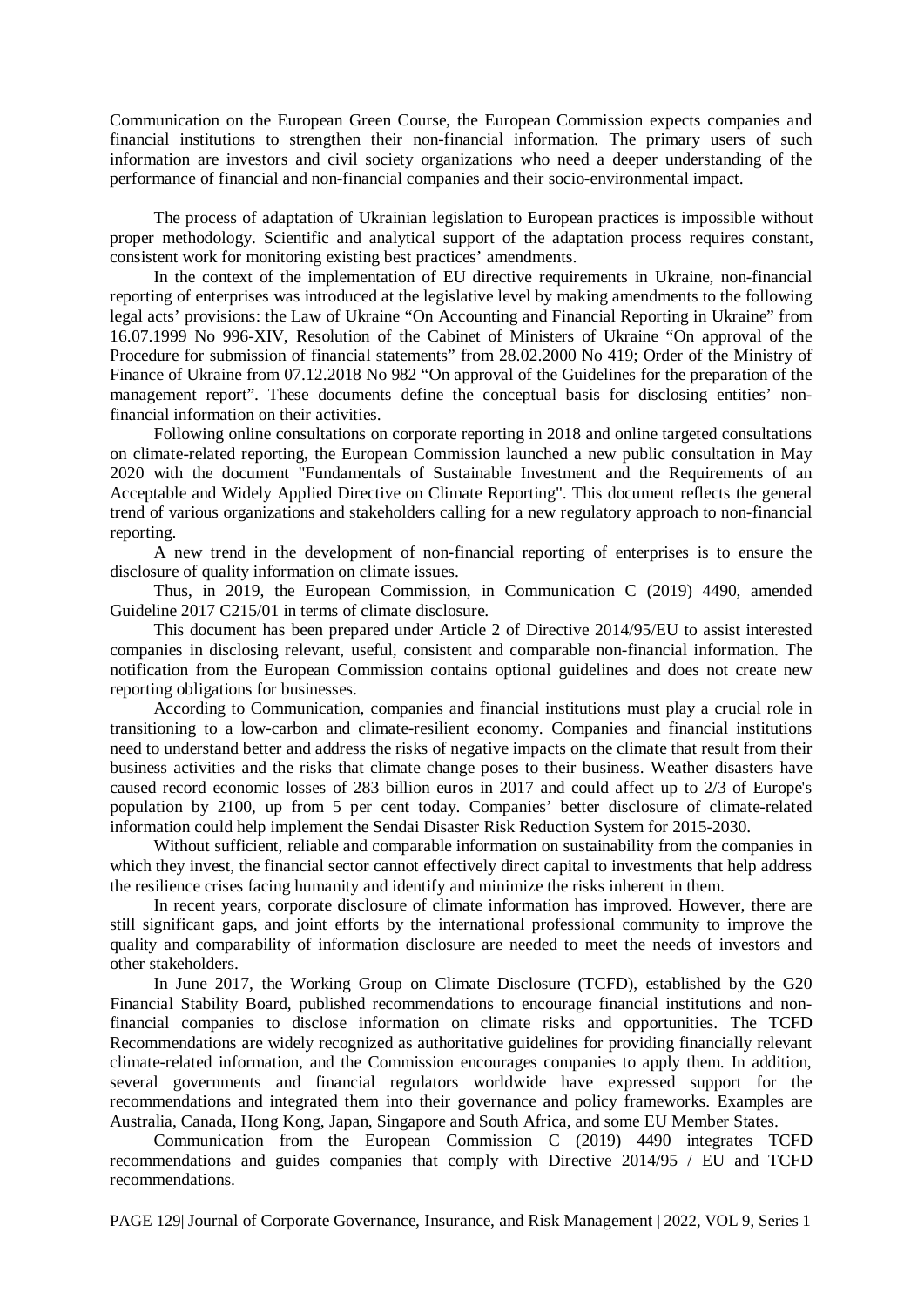Communication on the European Green Course, the European Commission expects companies and financial institutions to strengthen their non-financial information. The primary users of such information are investors and civil society organizations who need a deeper understanding of the performance of financial and non-financial companies and their socio-environmental impact.

The process of adaptation of Ukrainian legislation to European practices is impossible without proper methodology. Scientific and analytical support of the adaptation process requires constant, consistent work for monitoring existing best practices' amendments.

In the context of the implementation of EU directive requirements in Ukraine, non-financial reporting of enterprises was introduced at the legislative level by making amendments to the following legal acts' provisions: the Law of Ukraine "On Accounting and Financial Reporting in Ukraine" from 16.07.1999 No 996-XIV, Resolution of the Cabinet of Ministers of Ukraine "On approval of the Procedure for submission of financial statements" from 28.02.2000 No 419; Order of the Ministry of Finance of Ukraine from 07.12.2018 No 982 "On approval of the Guidelines for the preparation of the management report". These documents define the conceptual basis for disclosing entities' nonfinancial information on their activities.

Following online consultations on corporate reporting in 2018 and online targeted consultations on climate-related reporting, the European Commission launched a new public consultation in May 2020 with the document "Fundamentals of Sustainable Investment and the Requirements of an Acceptable and Widely Applied Directive on Climate Reporting". This document reflects the general trend of various organizations and stakeholders calling for a new regulatory approach to non-financial reporting.

A new trend in the development of non-financial reporting of enterprises is to ensure the disclosure of quality information on climate issues.

Thus, in 2019, the European Commission, in Communication C (2019) 4490, amended Guideline 2017 C215/01 in terms of climate disclosure.

This document has been prepared under Article 2 of Directive 2014/95/EU to assist interested companies in disclosing relevant, useful, consistent and comparable non-financial information. The notification from the European Commission contains optional guidelines and does not create new reporting obligations for businesses.

According to Communication, companies and financial institutions must play a crucial role in transitioning to a low-carbon and climate-resilient economy. Companies and financial institutions need to understand better and address the risks of negative impacts on the climate that result from their business activities and the risks that climate change poses to their business. Weather disasters have caused record economic losses of 283 billion euros in 2017 and could affect up to 2/3 of Europe's population by 2100, up from 5 per cent today. Companies' better disclosure of climate-related information could help implement the Sendai Disaster Risk Reduction System for 2015-2030.

Without sufficient, reliable and comparable information on sustainability from the companies in which they invest, the financial sector cannot effectively direct capital to investments that help address the resilience crises facing humanity and identify and minimize the risks inherent in them.

In recent years, corporate disclosure of climate information has improved. However, there are still significant gaps, and joint efforts by the international professional community to improve the quality and comparability of information disclosure are needed to meet the needs of investors and other stakeholders.

In June 2017, the Working Group on Climate Disclosure (TCFD), established by the G20 Financial Stability Board, published recommendations to encourage financial institutions and nonfinancial companies to disclose information on climate risks and opportunities. The TCFD Recommendations are widely recognized as authoritative guidelines for providing financially relevant climate-related information, and the Commission encourages companies to apply them. In addition, several governments and financial regulators worldwide have expressed support for the recommendations and integrated them into their governance and policy frameworks. Examples are Australia, Canada, Hong Kong, Japan, Singapore and South Africa, and some EU Member States.

Communication from the European Commission C (2019) 4490 integrates TCFD recommendations and guides companies that comply with Directive 2014/95 / EU and TCFD recommendations.

PAGE 129| Journal of Corporate Governance, Insurance, and Risk Management | 2022, VOL 9, Series 1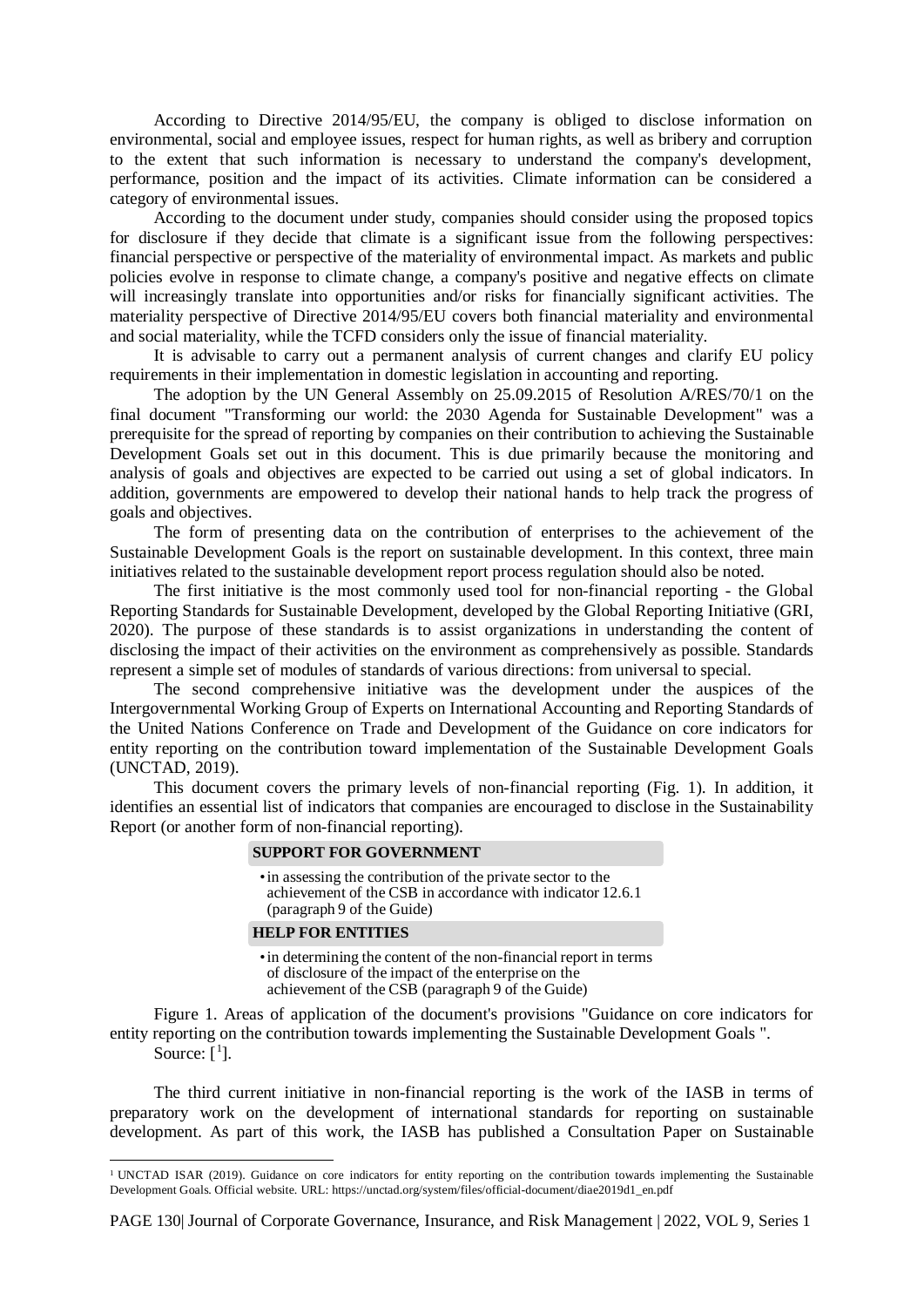According to Directive 2014/95/EU, the company is obliged to disclose information on environmental, social and employee issues, respect for human rights, as well as bribery and corruption to the extent that such information is necessary to understand the company's development, performance, position and the impact of its activities. Climate information can be considered a category of environmental issues.

According to the document under study, companies should consider using the proposed topics for disclosure if they decide that climate is a significant issue from the following perspectives: financial perspective or perspective of the materiality of environmental impact. As markets and public policies evolve in response to climate change, a company's positive and negative effects on climate will increasingly translate into opportunities and/or risks for financially significant activities. The materiality perspective of Directive 2014/95/EU covers both financial materiality and environmental and social materiality, while the TCFD considers only the issue of financial materiality.

It is advisable to carry out a permanent analysis of current changes and clarify EU policy requirements in their implementation in domestic legislation in accounting and reporting.

The adoption by the UN General Assembly on 25.09.2015 of Resolution A/RES/70/1 on the final document "Transforming our world: the 2030 Agenda for Sustainable Development" was a prerequisite for the spread of reporting by companies on their contribution to achieving the Sustainable Development Goals set out in this document. This is due primarily because the monitoring and analysis of goals and objectives are expected to be carried out using a set of global indicators. In addition, governments are empowered to develop their national hands to help track the progress of goals and objectives.

The form of presenting data on the contribution of enterprises to the achievement of the Sustainable Development Goals is the report on sustainable development. In this context, three main initiatives related to the sustainable development report process regulation should also be noted.

The first initiative is the most commonly used tool for non-financial reporting - the Global Reporting Standards for Sustainable Development, developed by the Global Reporting Initiative (GRI, 2020). The purpose of these standards is to assist organizations in understanding the content of disclosing the impact of their activities on the environment as comprehensively as possible. Standards represent a simple set of modules of standards of various directions: from universal to special.

The second comprehensive initiative was the development under the auspices of the Intergovernmental Working Group of Experts on International Accounting and Reporting Standards of the United Nations Conference on Trade and Development of the Guidance on core indicators for entity reporting on the contribution toward implementation of the Sustainable Development Goals (UNCTAD, 2019).

This document covers the primary levels of non-financial reporting (Fig. 1). In addition, it identifies an essential list of indicators that companies are encouraged to disclose in the Sustainability Report (or another form of non-financial reporting).

#### **SUPPORT FOR GOVERNMENT**

•in assessing the contribution of the private sector to the achievement of the CSB in accordance with indicator 12.6.1 (paragraph 9 of the Guide)

#### **HELP FOR ENTITIES**

 $\ddot{\phantom{a}}$ 

•in determining the content of the non-financial report in terms of disclosure of the impact of the enterprise on the achievement of the CSB (paragraph 9 of the Guide)

Figure 1. Areas of application of the document's provisions "Guidance on core indicators for entity reporting on the contribution towards implementing the Sustainable Development Goals ". Source:  $[$ <sup>[1](#page-4-0)</sup>].

The third current initiative in non-financial reporting is the work of the IASB in terms of preparatory work on the development of international standards for reporting on sustainable development. As part of this work, the IASB has published a Consultation Paper on Sustainable

<span id="page-4-0"></span><sup>1</sup> UNCTAD ISAR (2019). Guidance on core indicators for entity reporting on the contribution towards implementing the Sustainable Development Goals. Official website. URL: https://unctad.org/system/files/official-document/diae2019d1\_en.pdf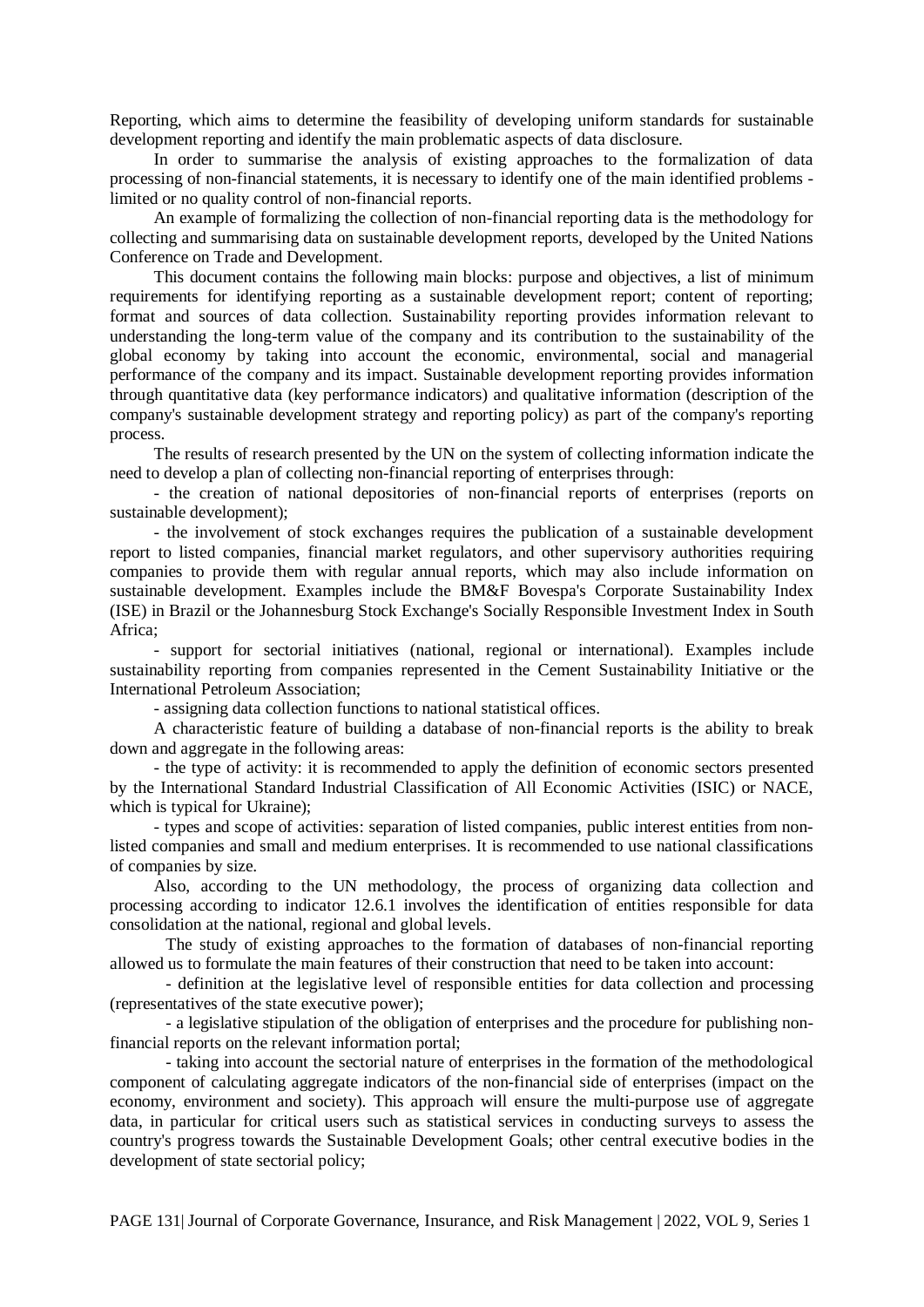Reporting, which aims to determine the feasibility of developing uniform standards for sustainable development reporting and identify the main problematic aspects of data disclosure.

In order to summarise the analysis of existing approaches to the formalization of data processing of non-financial statements, it is necessary to identify one of the main identified problems limited or no quality control of non-financial reports.

An example of formalizing the collection of non-financial reporting data is the methodology for collecting and summarising data on sustainable development reports, developed by the United Nations Conference on Trade and Development.

This document contains the following main blocks: purpose and objectives, a list of minimum requirements for identifying reporting as a sustainable development report; content of reporting; format and sources of data collection. Sustainability reporting provides information relevant to understanding the long-term value of the company and its contribution to the sustainability of the global economy by taking into account the economic, environmental, social and managerial performance of the company and its impact. Sustainable development reporting provides information through quantitative data (key performance indicators) and qualitative information (description of the company's sustainable development strategy and reporting policy) as part of the company's reporting process.

The results of research presented by the UN on the system of collecting information indicate the need to develop a plan of collecting non-financial reporting of enterprises through:

- the creation of national depositories of non-financial reports of enterprises (reports on sustainable development);

- the involvement of stock exchanges requires the publication of a sustainable development report to listed companies, financial market regulators, and other supervisory authorities requiring companies to provide them with regular annual reports, which may also include information on sustainable development. Examples include the BM&F Bovespa's Corporate Sustainability Index (ISE) in Brazil or the Johannesburg Stock Exchange's Socially Responsible Investment Index in South Africa;

- support for sectorial initiatives (national, regional or international). Examples include sustainability reporting from companies represented in the Cement Sustainability Initiative or the International Petroleum Association;

- assigning data collection functions to national statistical offices.

A characteristic feature of building a database of non-financial reports is the ability to break down and aggregate in the following areas:

- the type of activity: it is recommended to apply the definition of economic sectors presented by the International Standard Industrial Classification of All Economic Activities (ISIC) or NACE, which is typical for Ukraine);

- types and scope of activities: separation of listed companies, public interest entities from nonlisted companies and small and medium enterprises. It is recommended to use national classifications of companies by size.

Also, according to the UN methodology, the process of organizing data collection and processing according to indicator 12.6.1 involves the identification of entities responsible for data consolidation at the national, regional and global levels.

The study of existing approaches to the formation of databases of non-financial reporting allowed us to formulate the main features of their construction that need to be taken into account:

- definition at the legislative level of responsible entities for data collection and processing (representatives of the state executive power);

- a legislative stipulation of the obligation of enterprises and the procedure for publishing nonfinancial reports on the relevant information portal;

- taking into account the sectorial nature of enterprises in the formation of the methodological component of calculating aggregate indicators of the non-financial side of enterprises (impact on the economy, environment and society). This approach will ensure the multi-purpose use of aggregate data, in particular for critical users such as statistical services in conducting surveys to assess the country's progress towards the Sustainable Development Goals; other central executive bodies in the development of state sectorial policy;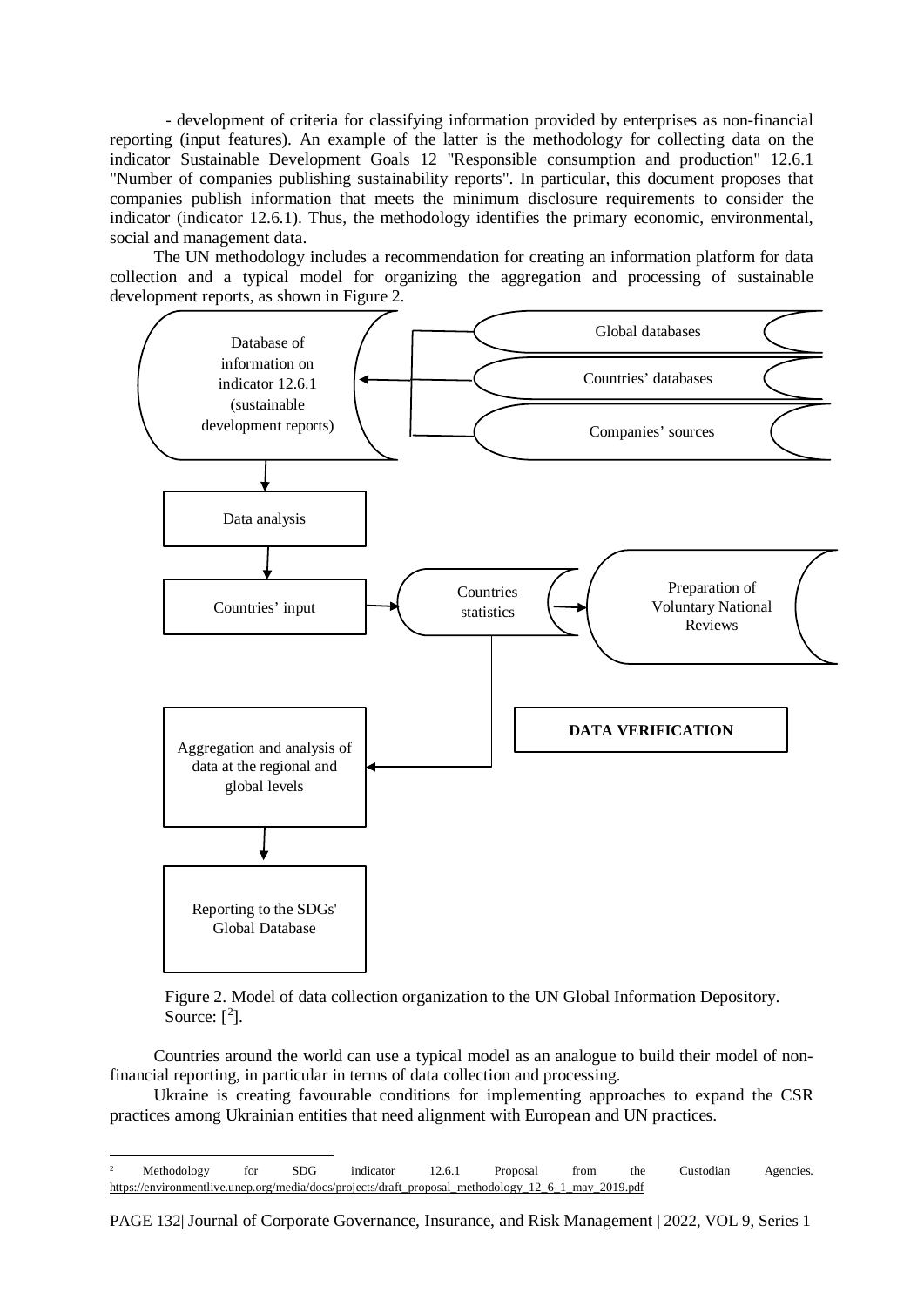- development of criteria for classifying information provided by enterprises as non-financial reporting (input features). An example of the latter is the methodology for collecting data on the indicator Sustainable Development Goals 12 "Responsible consumption and production" 12.6.1 "Number of companies publishing sustainability reports". In particular, this document proposes that companies publish information that meets the minimum disclosure requirements to consider the indicator (indicator 12.6.1). Thus, the methodology identifies the primary economic, environmental, social and management data.

The UN methodology includes a recommendation for creating an information platform for data collection and a typical model for organizing the aggregation and processing of sustainable development reports, as shown in Figure 2.





Countries around the world can use a typical model as an analogue to build their model of nonfinancial reporting, in particular in terms of data collection and processing.

Ukraine is creating favourable conditions for implementing approaches to expand the CSR practices among Ukrainian entities that need alignment with European and UN practices.

PAGE 132| Journal of Corporate Governance, Insurance, and Risk Management | 2022, VOL 9, Series 1

<span id="page-6-0"></span> $\overline{a}$ <sup>2</sup> Methodology for SDG indicator 12.6.1 Proposal from the Custodian Agencies. [https://environmentlive.unep.org/media/docs/projects/draft\\_proposal\\_methodology\\_12\\_6\\_1\\_may\\_2019.pdf](https://environmentlive.unep.org/media/docs/projects/draft_proposal_methodology_12_6_1_may_2019.pdf)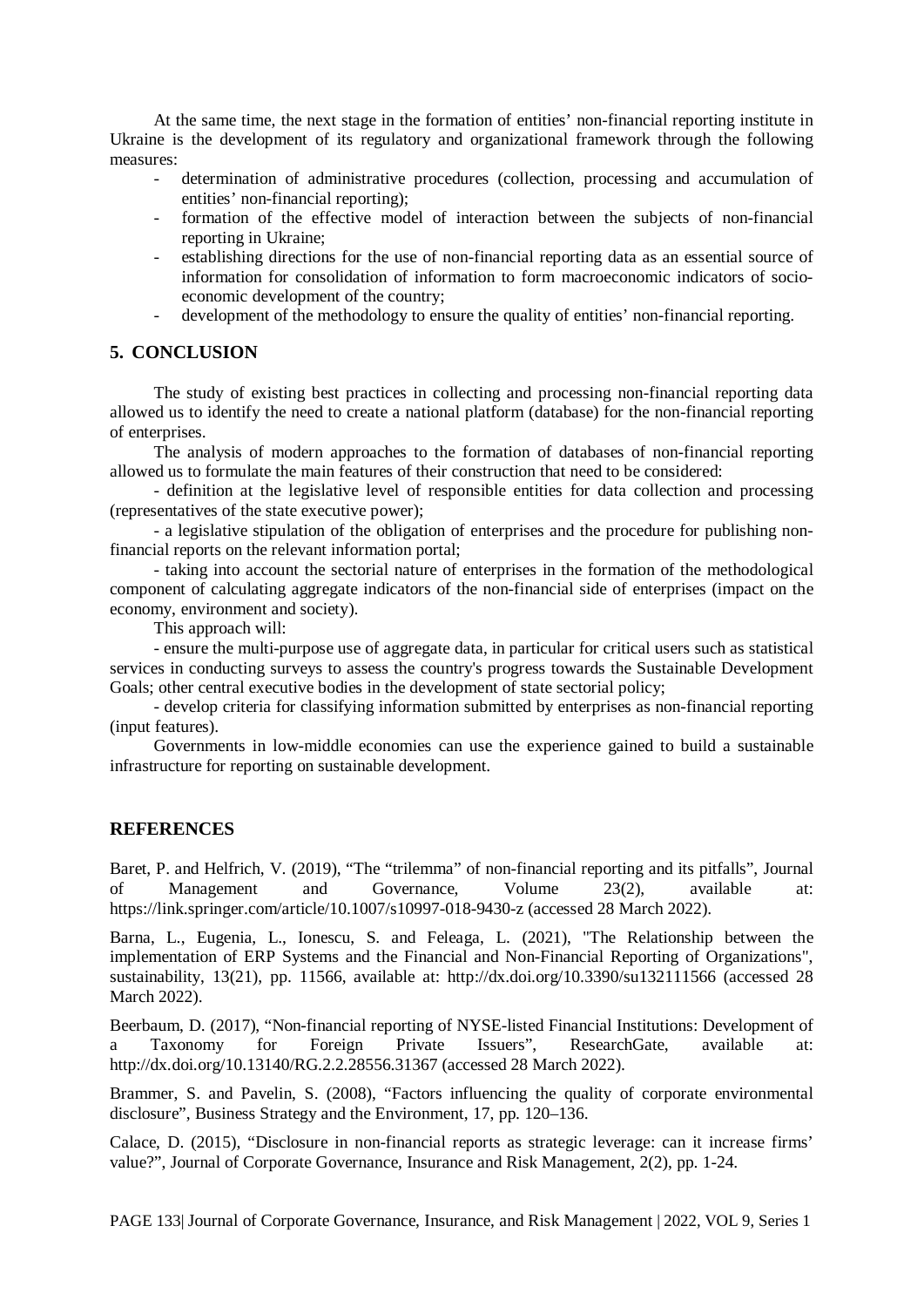At the same time, the next stage in the formation of entities' non-financial reporting institute in Ukraine is the development of its regulatory and organizational framework through the following measures:

- determination of administrative procedures (collection, processing and accumulation of entities' non-financial reporting);
- formation of the effective model of interaction between the subjects of non-financial reporting in Ukraine;
- establishing directions for the use of non-financial reporting data as an essential source of information for consolidation of information to form macroeconomic indicators of socioeconomic development of the country;
- development of the methodology to ensure the quality of entities' non-financial reporting.

## **5. CONCLUSION**

The study of existing best practices in collecting and processing non-financial reporting data allowed us to identify the need to create a national platform (database) for the non-financial reporting of enterprises.

The analysis of modern approaches to the formation of databases of non-financial reporting allowed us to formulate the main features of their construction that need to be considered:

- definition at the legislative level of responsible entities for data collection and processing (representatives of the state executive power);

- a legislative stipulation of the obligation of enterprises and the procedure for publishing nonfinancial reports on the relevant information portal;

- taking into account the sectorial nature of enterprises in the formation of the methodological component of calculating aggregate indicators of the non-financial side of enterprises (impact on the economy, environment and society).

This approach will:

- ensure the multi-purpose use of aggregate data, in particular for critical users such as statistical services in conducting surveys to assess the country's progress towards the Sustainable Development Goals; other central executive bodies in the development of state sectorial policy;

- develop criteria for classifying information submitted by enterprises as non-financial reporting (input features).

Governments in low-middle economies can use the experience gained to build a sustainable infrastructure for reporting on sustainable development.

#### **REFERENCES**

Baret, P. and Helfrich, V. (2019), "The "trilemma" of non-financial reporting and its pitfalls", Journal of Management and Governance, Volume 23(2), available at: https://link.springer.com/article/10.1007/s10997-018-9430-z (accessed 28 March 2022).

Barna, L., Eugenia, L., Ionescu, S. and Feleaga, L. (2021), "The Relationship between the implementation of ERP Systems and the Financial and Non-Financial Reporting of Organizations", sustainability, 13(21), pp. 11566, available at: http://dx.doi.org/10.3390/su132111566 (accessed 28 March 2022).

Beerbaum, D. (2017), "Non-financial reporting of NYSE-listed Financial Institutions: Development of a Taxonomy for Foreign Private Issuers", ResearchGate, available at: a Taxonomy for Foreign Private Issuers", ResearchGate, available at: http://dx.doi.org/10.13140/RG.2.2.28556.31367 (accessed 28 March 2022).

Brammer, S. and Pavelin, S. (2008), "Factors influencing the quality of corporate environmental disclosure", Business Strategy and the Environment, 17, pp. 120–136.

Calace, D. (2015), "Disclosure in non-financial reports as strategic leverage: can it increase firms' value?", Journal of Corporate Governance, Insurance and Risk Management, 2(2), pp. 1-24.

PAGE 133| Journal of Corporate Governance, Insurance, and Risk Management | 2022, VOL 9, Series 1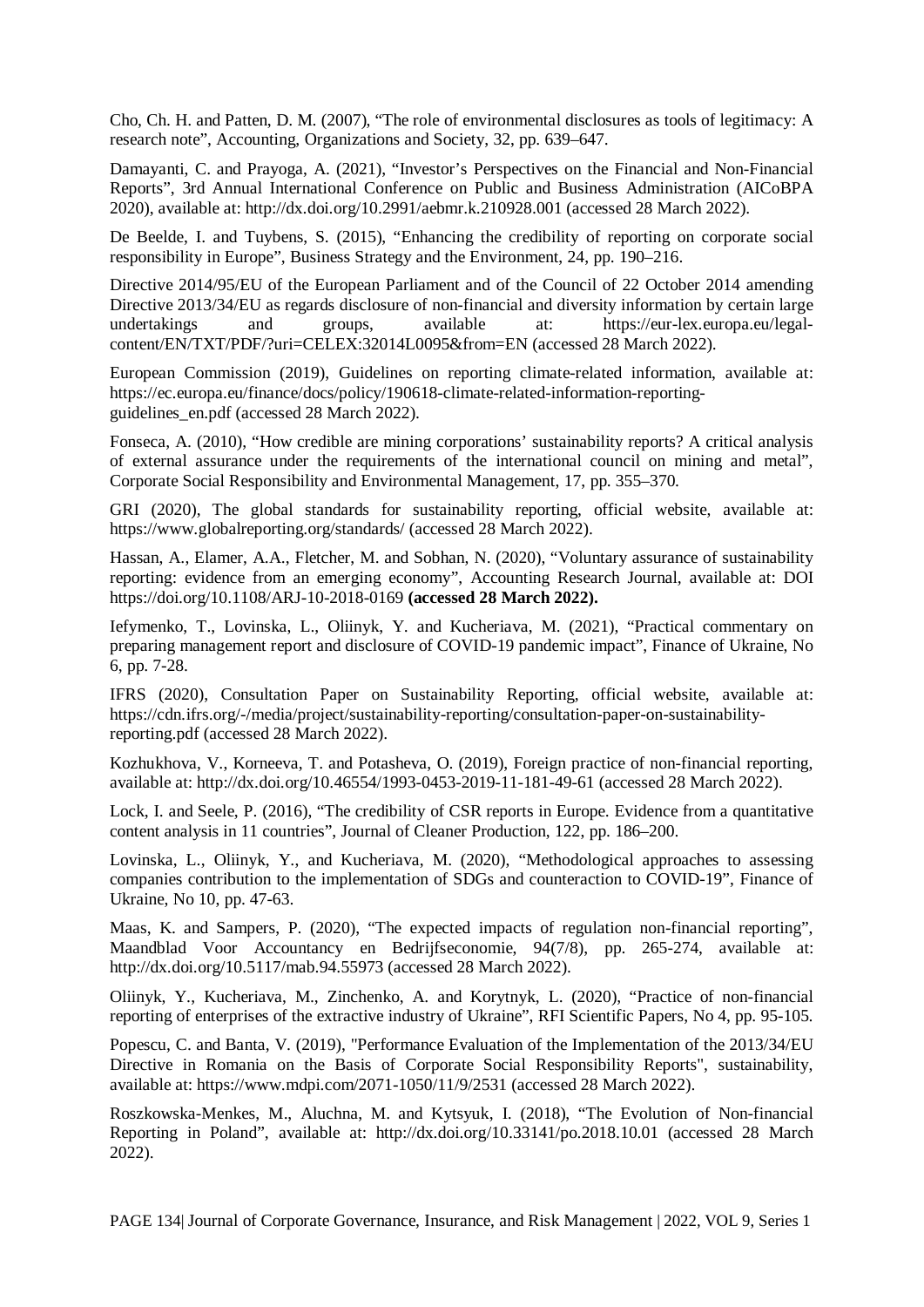Cho, Ch. H. and Patten, D. M. (2007), "The role of environmental disclosures as tools of legitimacy: A research note", Accounting, Organizations and Society, 32, pp. 639–647.

Damayanti, C. and Prayoga, A. (2021), "Investor's Perspectives on the Financial and Non-Financial Reports", 3rd Annual International Conference on Public and Business Administration (AICoBPA 2020), available at: http://dx.doi.org/10.2991/aebmr.k.210928.001 (accessed 28 March 2022).

De Beelde, I. and Tuybens, S. (2015), "Enhancing the credibility of reporting on corporate social responsibility in Europe", Business Strategy and the Environment, 24, pp. 190–216.

Directive 2014/95/EU of the European Parliament and of the Council of 22 October 2014 amending Directive 2013/34/EU as regards disclosure of non-financial and diversity information by certain large undertakings and groups, available at: https://eur-lex.europa.eu/legalcontent/EN/TXT/PDF/?uri=CELEX:32014L0095&from=EN (accessed 28 March 2022).

European Commission (2019), Guidelines on reporting climate-related information, available at: https://ec.europa.eu/finance/docs/policy/190618-climate-related-information-reportingguidelines\_en.pdf (accessed 28 March 2022).

Fonseca, A. (2010), "How credible are mining corporations' sustainability reports? A critical analysis of external assurance under the requirements of the international council on mining and metal", Corporate Social Responsibility and Environmental Management, 17, pp. 355–370.

GRI (2020), The global standards for sustainability reporting, official website, available at: https://www.globalreporting.org/standards/ (accessed 28 March 2022).

Hassan, A., Elamer, A.A., Fletcher, M. and Sobhan, N. (2020), "Voluntary assurance of sustainability reporting: evidence from an emerging economy", Accounting Research Journal*,* available at: DOI https://doi.org/10.1108/ARJ-10-2018-0169 **(accessed 28 March 2022).**

Iefymenko, T., Lovinska, L., Oliinyk, Y. and Kucheriava, M. (2021), "Practical commentary on preparing management report and disclosure of COVID-19 pandemic impact", Finance of Ukraine, No 6, pp. 7-28.

IFRS (2020), Consultation Paper on Sustainability Reporting, official website, available at: https://cdn.ifrs.org/-/media/project/sustainability-reporting/consultation-paper-on-sustainabilityreporting.pdf (accessed 28 March 2022).

Kozhukhova, V., Korneeva, T. and Potasheva, O. (2019), Foreign practice of non-financial reporting, available at: http://dx.doi.org/10.46554/1993-0453-2019-11-181-49-61 (accessed 28 March 2022).

Lock, I. and Seele, P. (2016), "The credibility of CSR reports in Europe. Evidence from a quantitative content analysis in 11 countries", Journal of Cleaner Production, 122, pp. 186–200.

Lovinska, L., Oliinyk, Y., and Kucheriava, M. (2020), "Methodological approaches to assessing companies contribution to the implementation of SDGs and counteraction to COVID-19", Finance of Ukraine, No 10, pp. 47-63.

Maas, K. and Sampers, P. (2020), "The expected impacts of regulation non-financial reporting", Maandblad Voor Accountancy en Bedrijfseconomie, 94(7/8), pp. 265-274, available at: http://dx.doi.org/10.5117/mab.94.55973 (accessed 28 March 2022).

Oliinyk, Y., Kucheriava, M., Zinchenko, A. and Korytnyk, L. (2020), "Practice of non-financial reporting of enterprises of the extractive industry of Ukraine", RFI Scientific Papers, No 4, pp. 95-105.

Popescu, C. and Banta, V. (2019), "Performance Evaluation of the Implementation of the 2013/34/EU Directive in Romania on the Basis of Corporate Social Responsibility Reports", sustainability, available at: https://www.mdpi.com/2071-1050/11/9/2531 (accessed 28 March 2022).

Roszkowska-Menkes, M., Aluchna, M. and Kytsyuk, I. (2018), "The Evolution of Non-financial Reporting in Poland", available at: http://dx.doi.org/10.33141/po.2018.10.01 (accessed 28 March  $2022$ ).